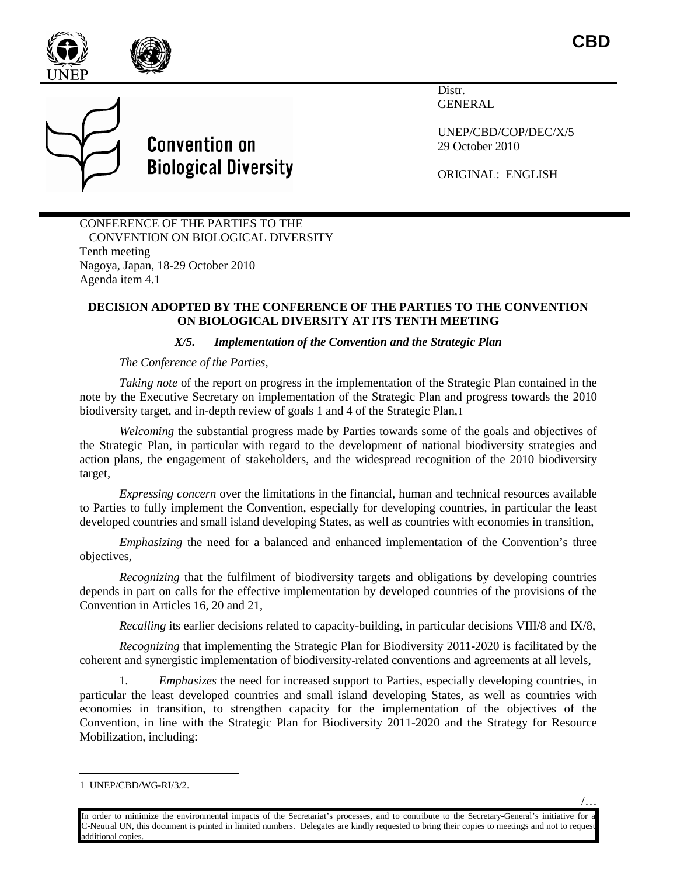





Distr. GENERAL

UNEP/CBD/COP/DEC/X/5 29 October 2010

ORIGINAL: ENGLISH

CONFERENCE OF THE PARTIES TO THE CONVENTION ON BIOLOGICAL DIVERSITY Tenth meeting Nagoya, Japan, 18-29 October 2010 Agenda item 4.1

## **DECISION ADOPTED BY THE CONFERENCE OF THE PARTIES TO THE CONVENTION ON BIOLOGICAL DIVERSITY AT ITS TENTH MEETING**

## *X/5. Implementation of the Convention and the Strategic Plan*

## *The Conference of the Parties,*

*Taking note* of the report on progress in the implementation of the Strategic Plan contained in the note by the Executive Secretary on implementation of the Strategic Plan and progress towards the 2010 biodiversity target, and in-depth review of goals 1 and 4 of the Strategic Plan[,1](#page-0-0)

*Welcoming* the substantial progress made by Parties towards some of the goals and objectives of the Strategic Plan, in particular with regard to the development of national biodiversity strategies and action plans, the engagement of stakeholders, and the widespread recognition of the 2010 biodiversity target,

*Expressing concern* over the limitations in the financial, human and technical resources available to Parties to fully implement the Convention, especially for developing countries, in particular the least developed countries and small island developing States, as well as countries with economies in transition,

*Emphasizing* the need for a balanced and enhanced implementation of the Convention's three objectives*,*

*Recognizing* that the fulfilment of biodiversity targets and obligations by developing countries depends in part on calls for the effective implementation by developed countries of the provisions of the Convention in Articles 16, 20 and 21,

*Recalling* its earlier decisions related to capacity-building, in particular decisions VIII/8 and IX/8,

*Recognizing* that implementing the Strategic Plan for Biodiversity 2011-2020 is facilitated by the coherent and synergistic implementation of biodiversity-related conventions and agreements at all levels,

1*. Emphasizes* the need for increased support to Parties, especially developing countries, in particular the least developed countries and small island developing States, as well as countries with economies in transition, to strengthen capacity for the implementation of the objectives of the Convention, in line with the Strategic Plan for Biodiversity 2011-2020 and the Strategy for Resource Mobilization, including:

/…

<span id="page-0-0"></span> <sup>1</sup> UNEP/CBD/WG-RI/3/2.

In order to minimize the environmental impacts of the Secretariat's processes, and to contribute to the Secretary-General's initiative for a C-Neutral UN, this document is printed in limited numbers. Delegates are kindly requested to bring their copies to meetings and not to request additional copies.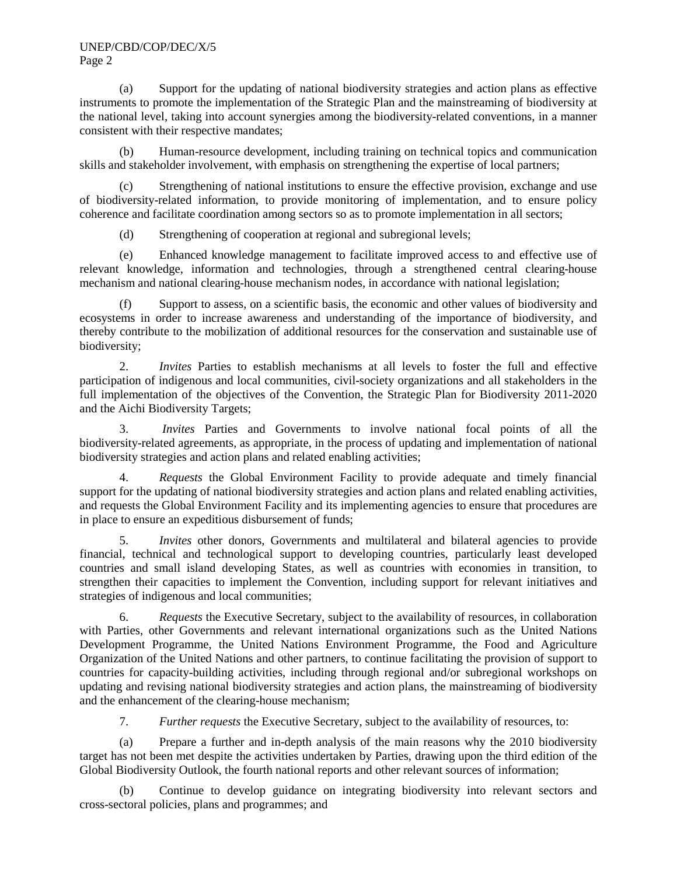(a) Support for the updating of national biodiversity strategies and action plans as effective instruments to promote the implementation of the Strategic Plan and the mainstreaming of biodiversity at the national level, taking into account synergies among the biodiversity-related conventions, in a manner consistent with their respective mandates;

(b) Human-resource development, including training on technical topics and communication skills and stakeholder involvement, with emphasis on strengthening the expertise of local partners;

(c) Strengthening of national institutions to ensure the effective provision, exchange and use of biodiversity-related information, to provide monitoring of implementation, and to ensure policy coherence and facilitate coordination among sectors so as to promote implementation in all sectors;

(d) Strengthening of cooperation at regional and subregional levels;

(e) Enhanced knowledge management to facilitate improved access to and effective use of relevant knowledge, information and technologies, through a strengthened central clearing-house mechanism and national clearing-house mechanism nodes, in accordance with national legislation;

(f) Support to assess, on a scientific basis, the economic and other values of biodiversity and ecosystems in order to increase awareness and understanding of the importance of biodiversity, and thereby contribute to the mobilization of additional resources for the conservation and sustainable use of biodiversity;

2. *Invites* Parties to establish mechanisms at all levels to foster the full and effective participation of indigenous and local communities, civil-society organizations and all stakeholders in the full implementation of the objectives of the Convention, the Strategic Plan for Biodiversity 2011-2020 and the Aichi Biodiversity Targets;

3. *Invites* Parties and Governments to involve national focal points of all the biodiversity-related agreements, as appropriate, in the process of updating and implementation of national biodiversity strategies and action plans and related enabling activities;

4. *Requests* the Global Environment Facility to provide adequate and timely financial support for the updating of national biodiversity strategies and action plans and related enabling activities, and requests the Global Environment Facility and its implementing agencies to ensure that procedures are in place to ensure an expeditious disbursement of funds;

5. *Invites* other donors, Governments and multilateral and bilateral agencies to provide financial, technical and technological support to developing countries, particularly least developed countries and small island developing States, as well as countries with economies in transition, to strengthen their capacities to implement the Convention, including support for relevant initiatives and strategies of indigenous and local communities;

6. *Requests* the Executive Secretary, subject to the availability of resources, in collaboration with Parties, other Governments and relevant international organizations such as the United Nations Development Programme, the United Nations Environment Programme, the Food and Agriculture Organization of the United Nations and other partners, to continue facilitating the provision of support to countries for capacity-building activities, including through regional and/or subregional workshops on updating and revising national biodiversity strategies and action plans, the mainstreaming of biodiversity and the enhancement of the clearing-house mechanism;

7. *Further requests* the Executive Secretary, subject to the availability of resources, to:

(a) Prepare a further and in-depth analysis of the main reasons why the 2010 biodiversity target has not been met despite the activities undertaken by Parties, drawing upon the third edition of the Global Biodiversity Outlook, the fourth national reports and other relevant sources of information;

(b) Continue to develop guidance on integrating biodiversity into relevant sectors and cross-sectoral policies, plans and programmes; and